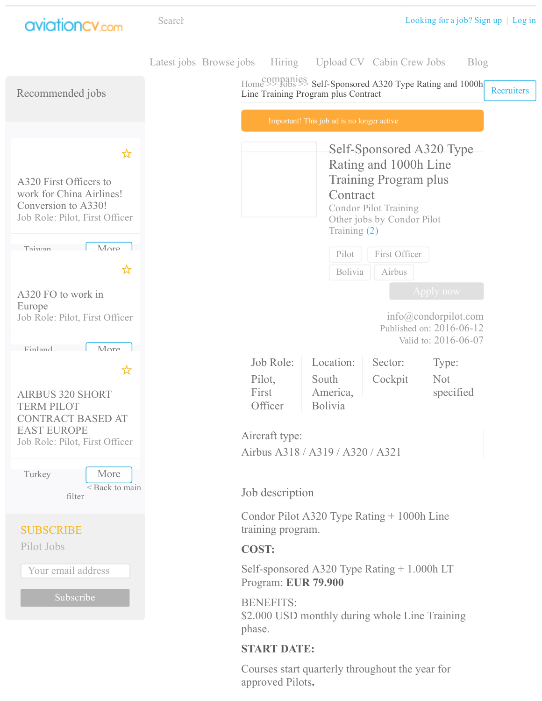

Courses start quarterly throughout the year for approved Pilots.